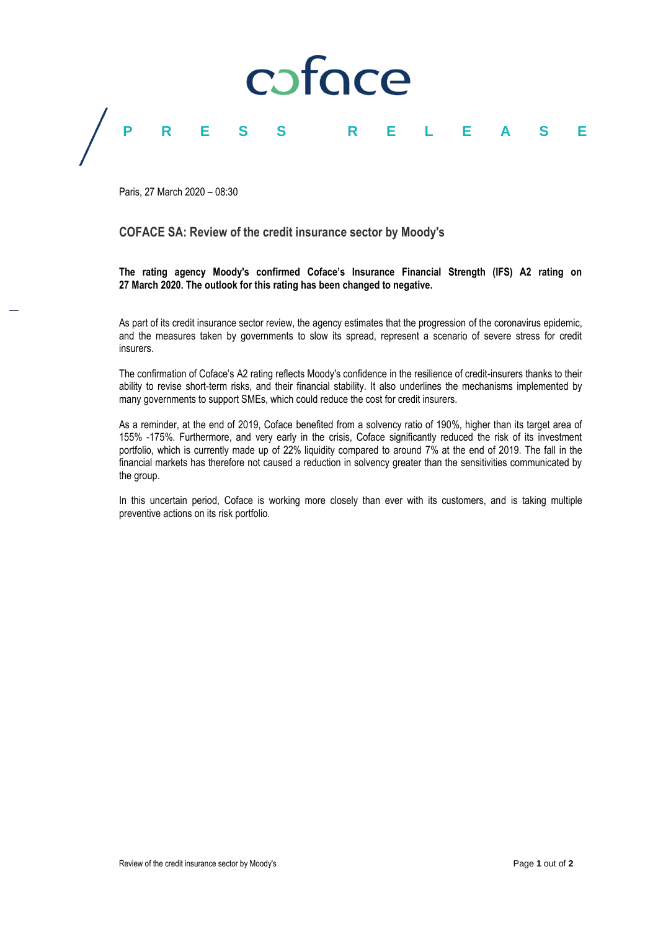

Paris, 27 March 2020 – 08:30

### **COFACE SA: Review of the credit insurance sector by Moody's**

**The rating agency Moody's confirmed Coface's Insurance Financial Strength (IFS) A2 rating on 27 March 2020. The outlook for this rating has been changed to negative.**

As part of its credit insurance sector review, the agency estimates that the progression of the coronavirus epidemic, and the measures taken by governments to slow its spread, represent a scenario of severe stress for credit insurers.

The confirmation of Coface's A2 rating reflects Moody's confidence in the resilience of credit-insurers thanks to their ability to revise short-term risks, and their financial stability. It also underlines the mechanisms implemented by many governments to support SMEs, which could reduce the cost for credit insurers.

As a reminder, at the end of 2019, Coface benefited from a solvency ratio of 190%, higher than its target area of 155% -175%. Furthermore, and very early in the crisis, Coface significantly reduced the risk of its investment portfolio, which is currently made up of 22% liquidity compared to around 7% at the end of 2019. The fall in the financial markets has therefore not caused a reduction in solvency greater than the sensitivities communicated by the group.

In this uncertain period, Coface is working more closely than ever with its customers, and is taking multiple preventive actions on its risk portfolio.